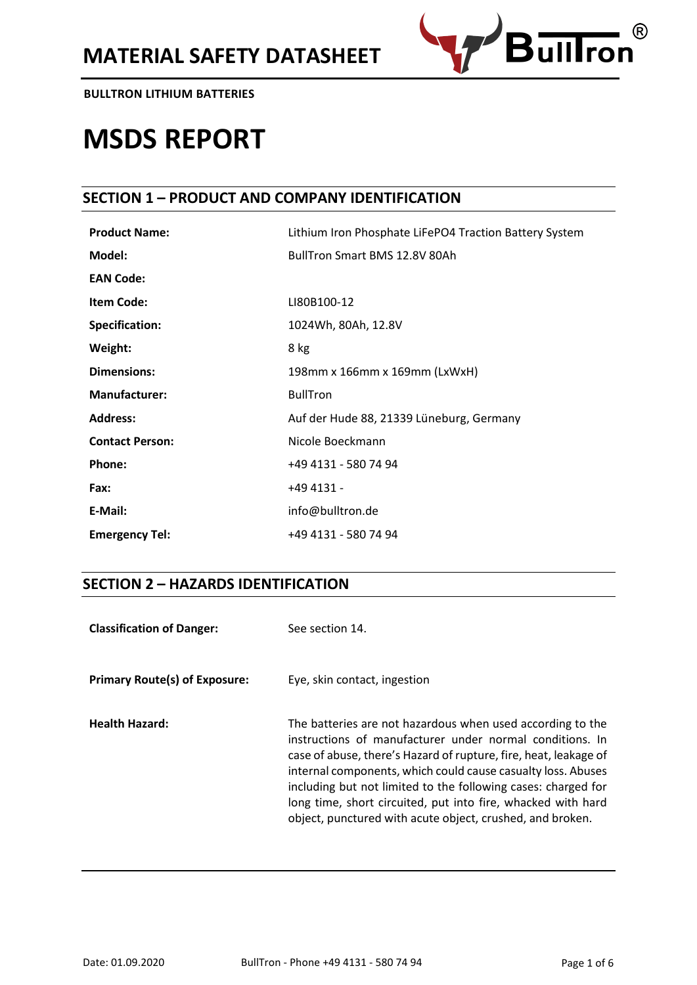

# **MSDS REPORT**

# **SECTION 1 – PRODUCT AND COMPANY IDENTIFICATION**

| <b>Product Name:</b>   | Lithium Iron Phosphate LiFePO4 Traction Battery System |
|------------------------|--------------------------------------------------------|
| Model:                 | <b>BullTron Smart BMS 12.8V 80Ah</b>                   |
| <b>EAN Code:</b>       |                                                        |
| <b>Item Code:</b>      | LI80B100-12                                            |
| <b>Specification:</b>  | 1024Wh, 80Ah, 12.8V                                    |
| Weight:                | 8 kg                                                   |
| <b>Dimensions:</b>     | 198mm x 166mm x 169mm (LxWxH)                          |
| <b>Manufacturer:</b>   | <b>BullTron</b>                                        |
| <b>Address:</b>        | Auf der Hude 88, 21339 Lüneburg, Germany               |
| <b>Contact Person:</b> | Nicole Boeckmann                                       |
| <b>Phone:</b>          | +49 4131 - 580 74 94                                   |
| Fax:                   | +49 4131 -                                             |
| E-Mail:                | info@bulltron.de                                       |
| <b>Emergency Tel:</b>  | +49 4131 - 580 74 94                                   |

# **SECTION 2 – HAZARDS IDENTIFICATION**

| <b>Classification of Danger:</b>     | See section 14.                                                                                                                                                                                                                                                                                                                                                                                                                                          |
|--------------------------------------|----------------------------------------------------------------------------------------------------------------------------------------------------------------------------------------------------------------------------------------------------------------------------------------------------------------------------------------------------------------------------------------------------------------------------------------------------------|
| <b>Primary Route(s) of Exposure:</b> | Eye, skin contact, ingestion                                                                                                                                                                                                                                                                                                                                                                                                                             |
| <b>Health Hazard:</b>                | The batteries are not hazardous when used according to the<br>instructions of manufacturer under normal conditions. In<br>case of abuse, there's Hazard of rupture, fire, heat, leakage of<br>internal components, which could cause casualty loss. Abuses<br>including but not limited to the following cases: charged for<br>long time, short circuited, put into fire, whacked with hard<br>object, punctured with acute object, crushed, and broken. |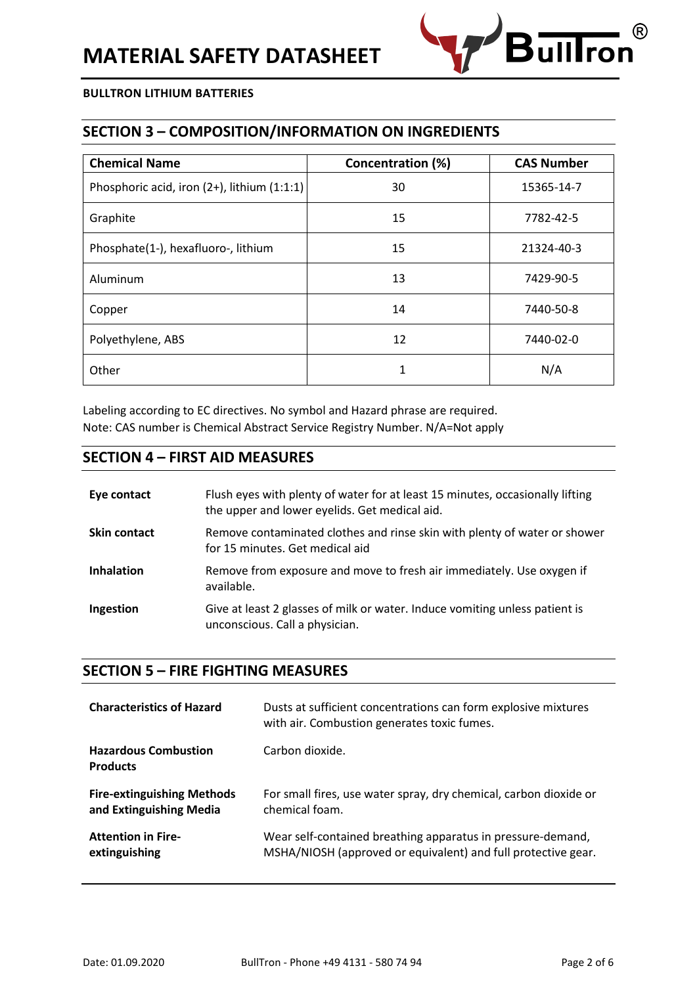

# **SECTION 3 – COMPOSITION/INFORMATION ON INGREDIENTS**

| <b>Chemical Name</b>                        | Concentration (%) | <b>CAS Number</b> |
|---------------------------------------------|-------------------|-------------------|
| Phosphoric acid, iron (2+), lithium (1:1:1) | 30                | 15365-14-7        |
| Graphite                                    | 15                | 7782-42-5         |
| Phosphate(1-), hexafluoro-, lithium         | 15                | 21324-40-3        |
| Aluminum                                    | 13                | 7429-90-5         |
| Copper                                      | 14                | 7440-50-8         |
| Polyethylene, ABS                           | 12                | 7440-02-0         |
| Other                                       | 1                 | N/A               |

Labeling according to EC directives. No symbol and Hazard phrase are required. Note: CAS number is Chemical Abstract Service Registry Number. N/A=Not apply

## **SECTION 4 – FIRST AID MEASURES**

| Eye contact         | Flush eyes with plenty of water for at least 15 minutes, occasionally lifting<br>the upper and lower eyelids. Get medical aid. |
|---------------------|--------------------------------------------------------------------------------------------------------------------------------|
| <b>Skin contact</b> | Remove contaminated clothes and rinse skin with plenty of water or shower<br>for 15 minutes. Get medical aid                   |
| <b>Inhalation</b>   | Remove from exposure and move to fresh air immediately. Use oxygen if<br>available.                                            |
| Ingestion           | Give at least 2 glasses of milk or water. Induce vomiting unless patient is<br>unconscious. Call a physician.                  |

## **SECTION 5 – FIRE FIGHTING MEASURES**

| <b>Characteristics of Hazard</b>               | Dusts at sufficient concentrations can form explosive mixtures<br>with air. Combustion generates toxic fumes. |
|------------------------------------------------|---------------------------------------------------------------------------------------------------------------|
| <b>Hazardous Combustion</b><br><b>Products</b> | Carbon dioxide.                                                                                               |
| <b>Fire-extinguishing Methods</b>              | For small fires, use water spray, dry chemical, carbon dioxide or                                             |
| and Extinguishing Media                        | chemical foam.                                                                                                |
| <b>Attention in Fire-</b>                      | Wear self-contained breathing apparatus in pressure-demand,                                                   |
| extinguishing                                  | MSHA/NIOSH (approved or equivalent) and full protective gear.                                                 |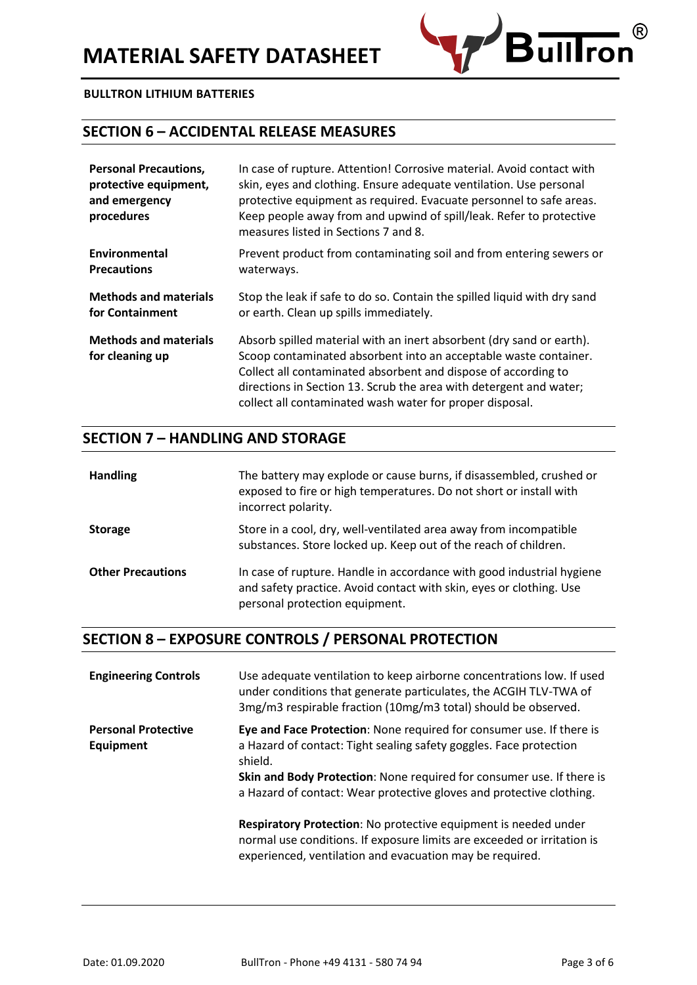

# **SECTION 6 – ACCIDENTAL RELEASE MEASURES**

| <b>Personal Precautions,</b><br>protective equipment,<br>and emergency<br>procedures | In case of rupture. Attention! Corrosive material. Avoid contact with<br>skin, eyes and clothing. Ensure adequate ventilation. Use personal<br>protective equipment as required. Evacuate personnel to safe areas.<br>Keep people away from and upwind of spill/leak. Refer to protective<br>measures listed in Sections 7 and 8.            |
|--------------------------------------------------------------------------------------|----------------------------------------------------------------------------------------------------------------------------------------------------------------------------------------------------------------------------------------------------------------------------------------------------------------------------------------------|
| Environmental                                                                        | Prevent product from contaminating soil and from entering sewers or                                                                                                                                                                                                                                                                          |
| <b>Precautions</b>                                                                   | waterways.                                                                                                                                                                                                                                                                                                                                   |
| <b>Methods and materials</b>                                                         | Stop the leak if safe to do so. Contain the spilled liquid with dry sand                                                                                                                                                                                                                                                                     |
| for Containment                                                                      | or earth. Clean up spills immediately.                                                                                                                                                                                                                                                                                                       |
| <b>Methods and materials</b><br>for cleaning up                                      | Absorb spilled material with an inert absorbent (dry sand or earth).<br>Scoop contaminated absorbent into an acceptable waste container.<br>Collect all contaminated absorbent and dispose of according to<br>directions in Section 13. Scrub the area with detergent and water;<br>collect all contaminated wash water for proper disposal. |

### **SECTION 7 – HANDLING AND STORAGE**

| <b>Handling</b>          | The battery may explode or cause burns, if disassembled, crushed or<br>exposed to fire or high temperatures. Do not short or install with<br>incorrect polarity.               |
|--------------------------|--------------------------------------------------------------------------------------------------------------------------------------------------------------------------------|
| <b>Storage</b>           | Store in a cool, dry, well-ventilated area away from incompatible<br>substances. Store locked up. Keep out of the reach of children.                                           |
| <b>Other Precautions</b> | In case of rupture. Handle in accordance with good industrial hygiene<br>and safety practice. Avoid contact with skin, eyes or clothing. Use<br>personal protection equipment. |

# **SECTION 8 – EXPOSURE CONTROLS / PERSONAL PROTECTION**

| <b>Engineering Controls</b>             | Use adequate ventilation to keep airborne concentrations low. If used<br>under conditions that generate particulates, the ACGIH TLV-TWA of<br>3mg/m3 respirable fraction (10mg/m3 total) should be observed.                                                                                           |
|-----------------------------------------|--------------------------------------------------------------------------------------------------------------------------------------------------------------------------------------------------------------------------------------------------------------------------------------------------------|
| <b>Personal Protective</b><br>Equipment | Eye and Face Protection: None required for consumer use. If there is<br>a Hazard of contact: Tight sealing safety goggles. Face protection<br>shield.<br>Skin and Body Protection: None required for consumer use. If there is<br>a Hazard of contact: Wear protective gloves and protective clothing. |
|                                         | Respiratory Protection: No protective equipment is needed under<br>normal use conditions. If exposure limits are exceeded or irritation is<br>experienced, ventilation and evacuation may be required.                                                                                                 |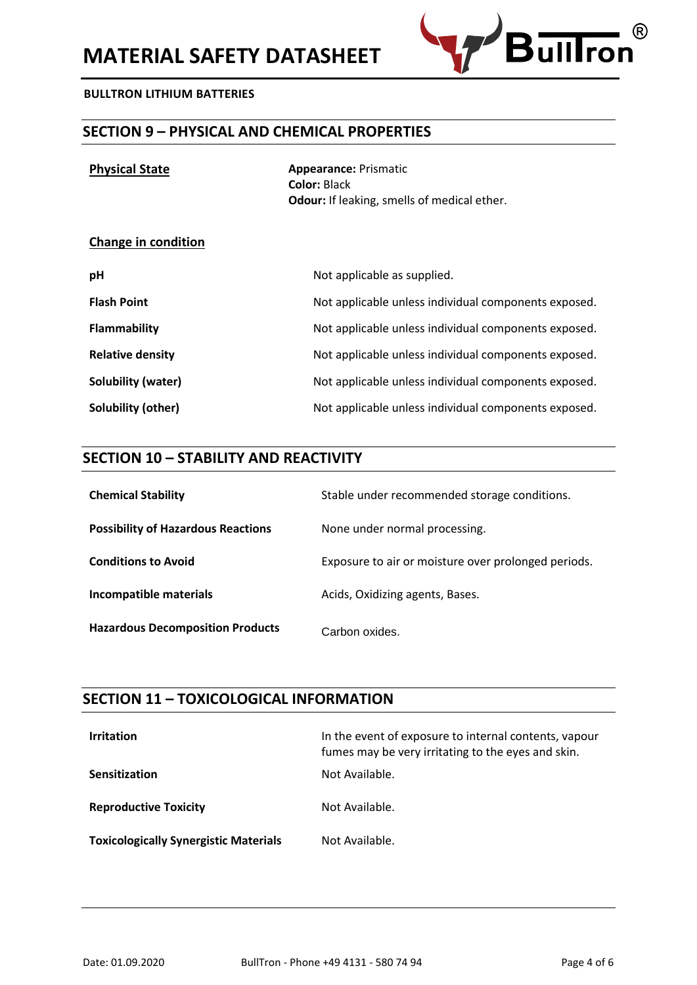

# **SECTION 9 – PHYSICAL AND CHEMICAL PROPERTIES**

| <b>Physical State</b> | <b>Appearance: Prismatic</b>                       |
|-----------------------|----------------------------------------------------|
|                       | <b>Color: Black</b>                                |
|                       | <b>Odour:</b> If leaking, smells of medical ether. |
|                       |                                                    |
|                       |                                                    |

#### **Change in condition**

| pH                        | Not applicable as supplied.                          |
|---------------------------|------------------------------------------------------|
| <b>Flash Point</b>        | Not applicable unless individual components exposed. |
| Flammability              | Not applicable unless individual components exposed. |
| <b>Relative density</b>   | Not applicable unless individual components exposed. |
| <b>Solubility (water)</b> | Not applicable unless individual components exposed. |
| Solubility (other)        | Not applicable unless individual components exposed. |

# **SECTION 10 – STABILITY AND REACTIVITY**

| <b>Chemical Stability</b>                 | Stable under recommended storage conditions.        |
|-------------------------------------------|-----------------------------------------------------|
| <b>Possibility of Hazardous Reactions</b> | None under normal processing.                       |
| <b>Conditions to Avoid</b>                | Exposure to air or moisture over prolonged periods. |
| Incompatible materials                    | Acids, Oxidizing agents, Bases.                     |
| <b>Hazardous Decomposition Products</b>   | Carbon oxides.                                      |

# **SECTION 11 – TOXICOLOGICAL INFORMATION**

| <b>Irritation</b>                            | In the event of exposure to internal contents, vapour<br>fumes may be very irritating to the eyes and skin. |
|----------------------------------------------|-------------------------------------------------------------------------------------------------------------|
| <b>Sensitization</b>                         | Not Available.                                                                                              |
| <b>Reproductive Toxicity</b>                 | Not Available.                                                                                              |
| <b>Toxicologically Synergistic Materials</b> | Not Available.                                                                                              |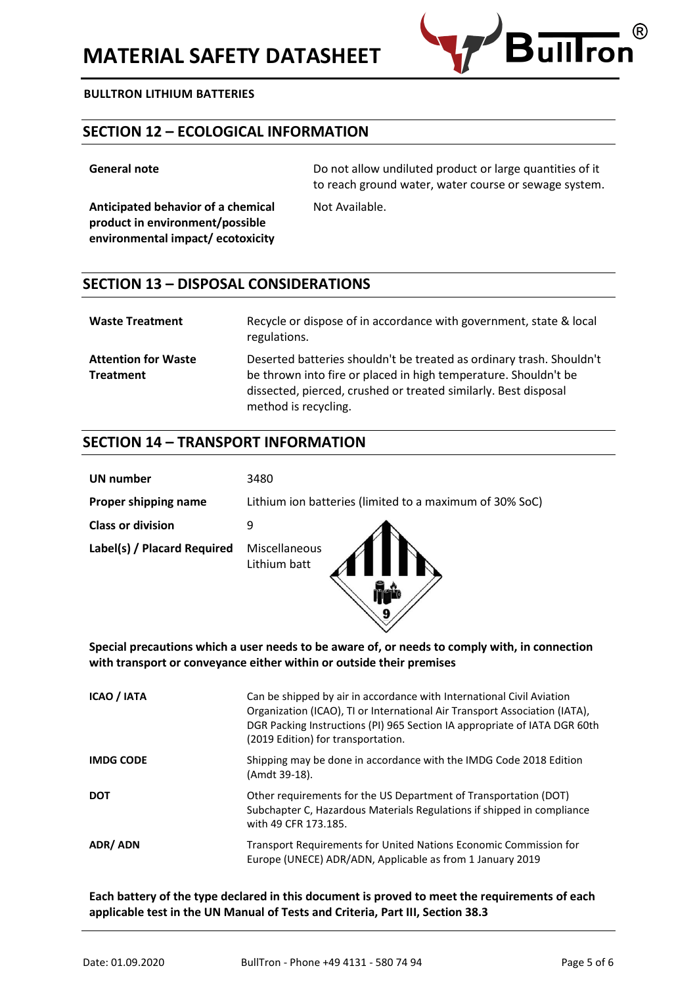

# **SECTION 12 – ECOLOGICAL INFORMATION**

**Anticipated behavior of a chemical product in environment/possible environmental impact/ ecotoxicity**

**General note CENER CONDUCTS** Do not allow undiluted product or large quantities of it to reach ground water, water course or sewage system.

Not Available.

# **SECTION 13 – DISPOSAL CONSIDERATIONS**

| <b>Waste Treatment</b>                         | Recycle or dispose of in accordance with government, state & local<br>regulations.                                                                                                                                                 |
|------------------------------------------------|------------------------------------------------------------------------------------------------------------------------------------------------------------------------------------------------------------------------------------|
| <b>Attention for Waste</b><br><b>Treatment</b> | Deserted batteries shouldn't be treated as ordinary trash. Shouldn't<br>be thrown into fire or placed in high temperature. Shouldn't be<br>dissected, pierced, crushed or treated similarly. Best disposal<br>method is recycling. |

# **SECTION 14 – TRANSPORT INFORMATION**

| UN number                   | 3480                                                    |
|-----------------------------|---------------------------------------------------------|
| Proper shipping name        | Lithium ion batteries (limited to a maximum of 30% SoC) |
| <b>Class or division</b>    |                                                         |
| Label(s) / Placard Required | Miscellaneous<br>Lithium batt                           |

**Special precautions which a user needs to be aware of, or needs to comply with, in connection with transport or conveyance either within or outside their premises**

 $\overline{\mathbf{9}}$ 

| ICAO / IATA      | Can be shipped by air in accordance with International Civil Aviation<br>Organization (ICAO), TI or International Air Transport Association (IATA),<br>DGR Packing Instructions (PI) 965 Section IA appropriate of IATA DGR 60th<br>(2019 Edition) for transportation. |
|------------------|------------------------------------------------------------------------------------------------------------------------------------------------------------------------------------------------------------------------------------------------------------------------|
| <b>IMDG CODE</b> | Shipping may be done in accordance with the IMDG Code 2018 Edition<br>(Amdt 39-18).                                                                                                                                                                                    |
| <b>DOT</b>       | Other requirements for the US Department of Transportation (DOT)<br>Subchapter C, Hazardous Materials Regulations if shipped in compliance<br>with 49 CFR 173.185.                                                                                                     |
| ADR/ADN          | Transport Requirements for United Nations Economic Commission for<br>Europe (UNECE) ADR/ADN, Applicable as from 1 January 2019                                                                                                                                         |

**Each battery of the type declared in this document is proved to meet the requirements of each applicable test in the UN Manual of Tests and Criteria, Part III, Section 38.3**